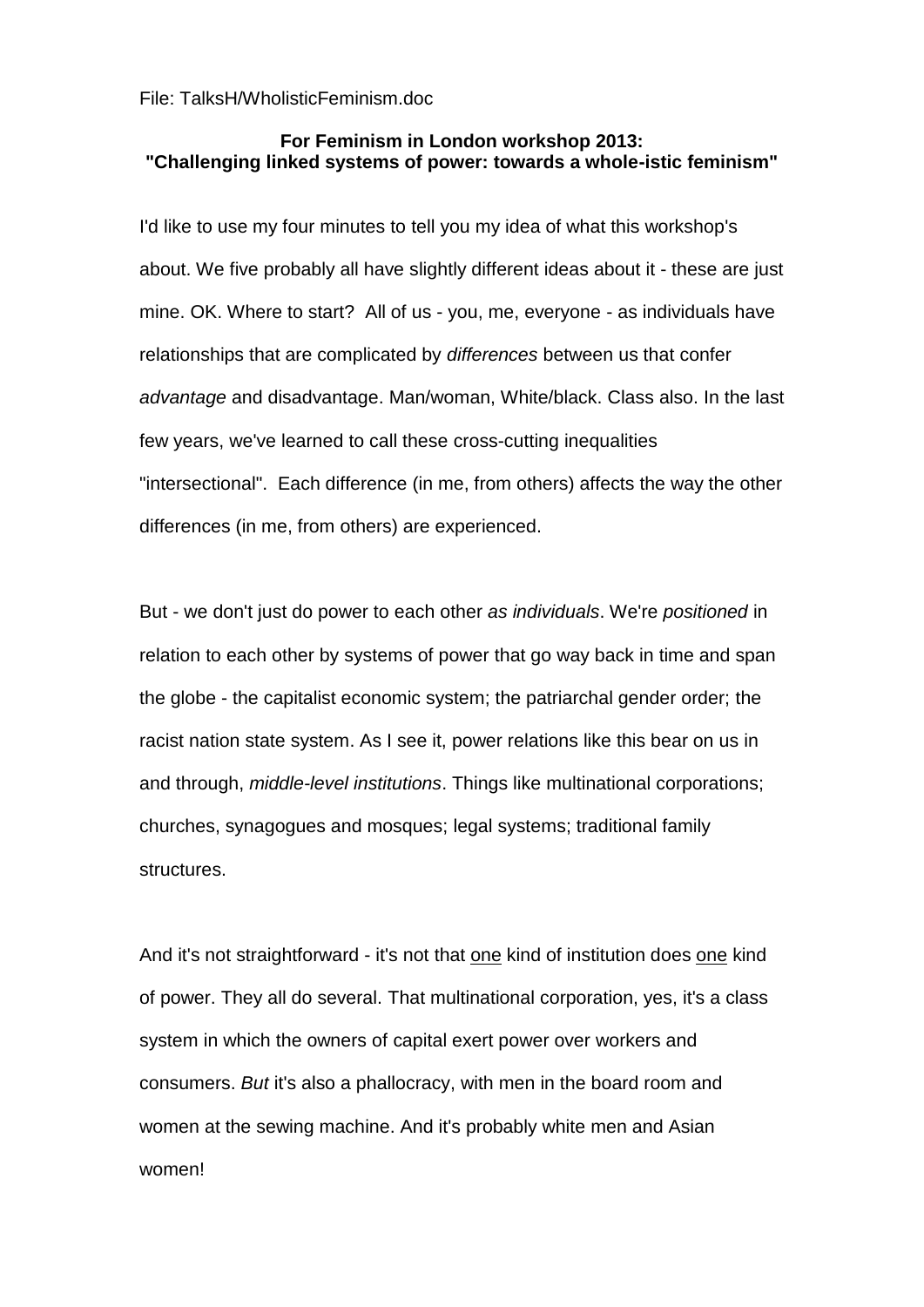File: TalksH/WholisticFeminism.doc

## **For Feminism in London workshop 2013: "Challenging linked systems of power: towards a whole-istic feminism"**

I'd like to use my four minutes to tell you my idea of what this workshop's about. We five probably all have slightly different ideas about it - these are just mine. OK. Where to start? All of us - you, me, everyone - as individuals have relationships that are complicated by *differences* between us that confer *advantage* and disadvantage. Man/woman, White/black. Class also. In the last few years, we've learned to call these cross-cutting inequalities "intersectional". Each difference (in me, from others) affects the way the other differences (in me, from others) are experienced.

But - we don't just do power to each other *as individuals*. We're *positioned* in relation to each other by systems of power that go way back in time and span the globe - the capitalist economic system; the patriarchal gender order; the racist nation state system. As I see it, power relations like this bear on us in and through, *middle-level institutions*. Things like multinational corporations; churches, synagogues and mosques; legal systems; traditional family structures.

And it's not straightforward - it's not that one kind of institution does one kind of power. They all do several. That multinational corporation, yes, it's a class system in which the owners of capital exert power over workers and consumers. *But* it's also a phallocracy, with men in the board room and women at the sewing machine. And it's probably white men and Asian women!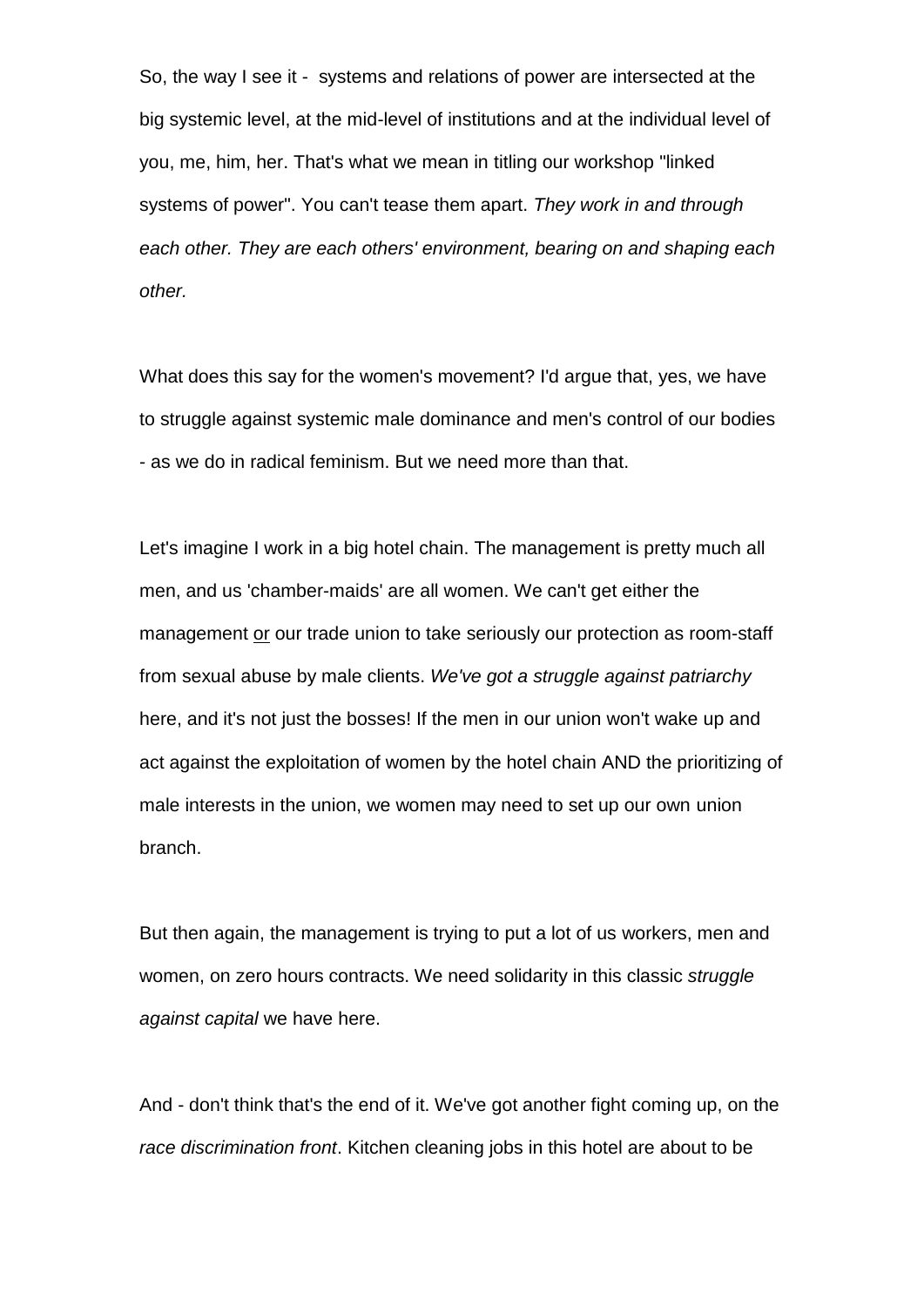So, the way I see it - systems and relations of power are intersected at the big systemic level, at the mid-level of institutions and at the individual level of you, me, him, her. That's what we mean in titling our workshop "linked systems of power". You can't tease them apart. *They work in and through each other. They are each others' environment, bearing on and shaping each other.*

What does this say for the women's movement? I'd argue that, yes, we have to struggle against systemic male dominance and men's control of our bodies - as we do in radical feminism. But we need more than that.

Let's imagine I work in a big hotel chain. The management is pretty much all men, and us 'chamber-maids' are all women. We can't get either the management or our trade union to take seriously our protection as room-staff from sexual abuse by male clients. *We've got a struggle against patriarchy* here, and it's not just the bosses! If the men in our union won't wake up and act against the exploitation of women by the hotel chain AND the prioritizing of male interests in the union, we women may need to set up our own union branch.

But then again, the management is trying to put a lot of us workers, men and women, on zero hours contracts. We need solidarity in this classic *struggle against capital* we have here.

And - don't think that's the end of it. We've got another fight coming up, on the *race discrimination front*. Kitchen cleaning jobs in this hotel are about to be